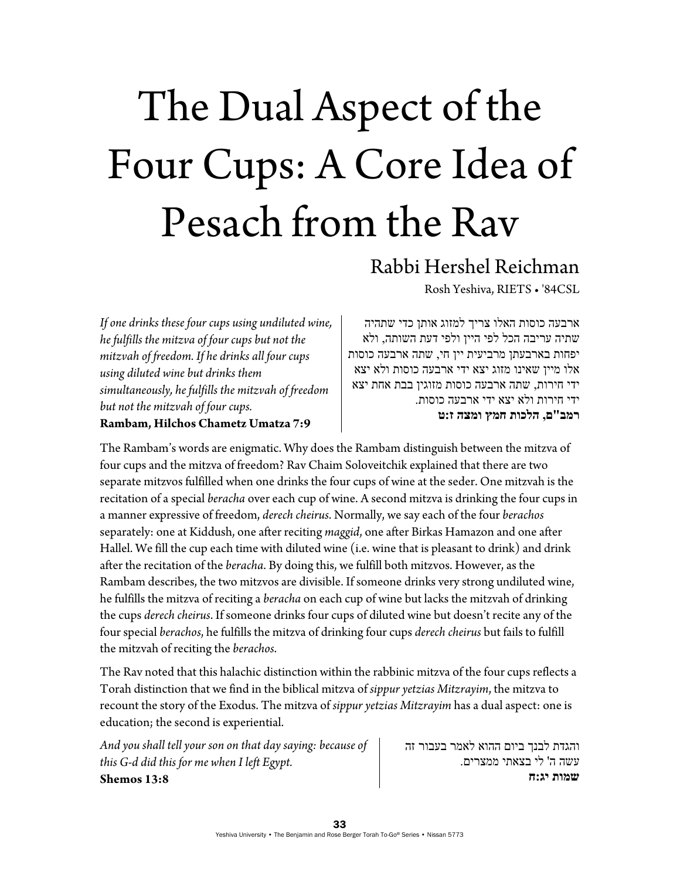## The Dual Aspect of the Four Cups: A Core Idea of Pesach from the Rav

## Rabbi Hershel Reichman

Rosh Yeshiva, RIETS • '84CSL

*If one drinks these four cups using undiluted wine, he fulfills the mitzva of four cups but not the mitzvah of freedom. If he drinks all four cups using diluted wine but drinks them simultaneously, he fulfills the mitzvah of freedom but not the mitzvah of four cups.*  **Rambam, Hilchos Chametz Umatza 7:9** 

ארבעה כוסות האלו צריך למזוג אותן כדי שתהיה שתיה עריבה הכל לפי היין ולפי דעת השותה, ולא יפחות בארבעתן מרביעית יין חי, שתה ארבעה כוסות אלו מיין שאינו מזוג יצא ידי ארבעה כוסות ולא יצא ידי חירות, שתה ארבעה כוסות מזוגין בבת אחת יצא ידי חירות ולא יצא ידי ארבעה כוסות. **רמב"ם, הלכות חמץ ומצה ז:ט**

The Rambam's words are enigmatic. Why does the Rambam distinguish between the mitzva of four cups and the mitzva of freedom? Rav Chaim Soloveitchik explained that there are two separate mitzvos fulfilled when one drinks the four cups of wine at the seder. One mitzvah is the recitation of a special *beracha* over each cup of wine. A second mitzva is drinking the four cups in a manner expressive of freedom, *derech cheirus*. Normally, we say each of the four *berachos* separately: one at Kiddush, one after reciting *maggid*, one after Birkas Hamazon and one after Hallel. We fill the cup each time with diluted wine (i.e. wine that is pleasant to drink) and drink after the recitation of the *beracha*. By doing this, we fulfill both mitzvos. However, as the Rambam describes, the two mitzvos are divisible. If someone drinks very strong undiluted wine, he fulfills the mitzva of reciting a *beracha* on each cup of wine but lacks the mitzvah of drinking the cups *derech cheirus*. If someone drinks four cups of diluted wine but doesn't recite any of the four special *berachos*, he fulfills the mitzva of drinking four cups *derech cheirus* but fails to fulfill the mitzvah of reciting the *berachos*.

The Rav noted that this halachic distinction within the rabbinic mitzva of the four cups reflects a Torah distinction that we find in the biblical mitzva of *sippur yetzias Mitzrayim*, the mitzva to recount the story of the Exodus. The mitzva of *sippur yetzias Mitzrayim* has a dual aspect: one is education; the second is experiential.

*And you shall tell your son on that day saying: because of this G-d did this for me when I left Egypt.*  **Shemos 13:8** 

והגדת לבנך ביום ההוא לאמר בעבור זה עשה ה' לי בצאתי ממצרים. **שמות יג:ח**